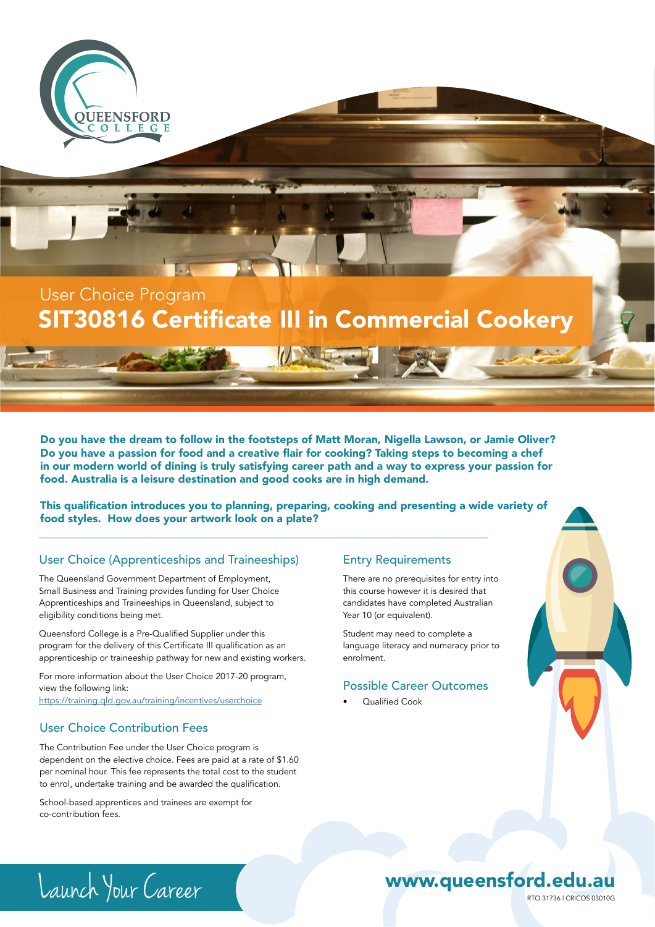

# SIT30816 Certificate III in Commercial Cookery

Do you have the dream to follow in the footsteps of Matt Moran, Nigella Lawson, or Jamie Oliver? Do you have a passion for food and a creative flair for cooking? Taking steps to becoming a chef in our modern world of dining is truly satisfying career path and a way to express your passion for food. Australia is a leisure destination and good cooks are in high demand.

This qualification introduces you to planning, preparing, cooking and presenting a wide variety of food styles. How does your artwork look on a plate?

#### User Choice (Apprenticeships and Traineeships)

The Queensland Government Department of Employment, Small Business and Training provides funding for User Choice Apprenticeships and Traineeships in Queensland, subject to eligibility conditions being met.

Queensford College is a Pre-Qualified Supplier under this program for the delivery of this Certificate III qualification as an apprenticeship or traineeship pathway for new and existing workers.

For more information about the User Choice 2017-20 program, view the following link: https://training.qld.gov.au/training/incentives/userchoice

### User Choice Contribution Fees

The Contribution Fee under the User Choice program is dependent on the elective choice. Fees are paid at a rate of \$1.60 per nominal hour. This fee represents the total cost to the student to enrol, undertake training and be awarded the qualification.

School-based apprentices and trainees are exempt for co-contribution fees.

### Entry Requirements

There are no prerequisites for entry into this course however it is desired that candidates have completed Australian Year 10 (or equivalent).

Student may need to complete a language literacy and numeracy prior to enrolment.

### Possible Career Outcomes

• Qualified Cook



# Launch Your Career RTO 31736 Leaunch Your Career